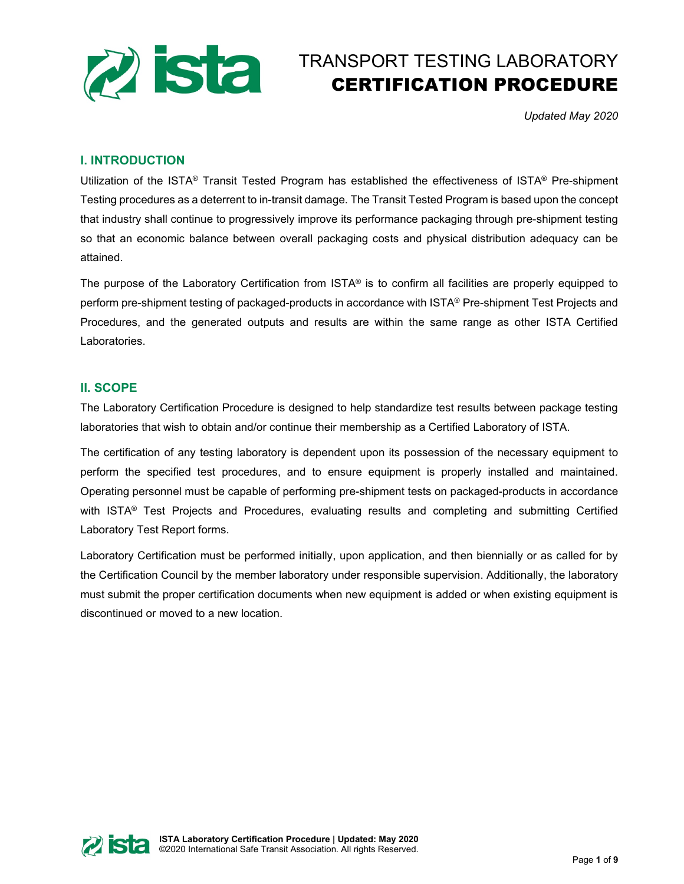

# TRANSPORT TESTING LABORATORY CERTIFICATION PROCEDURE

*Updated May 2020*

# **I. INTRODUCTION**

Utilization of the ISTA® Transit Tested Program has established the effectiveness of ISTA® Pre-shipment Testing procedures as a deterrent to in-transit damage. The Transit Tested Program is based upon the concept that industry shall continue to progressively improve its performance packaging through pre-shipment testing so that an economic balance between overall packaging costs and physical distribution adequacy can be attained.

The purpose of the Laboratory Certification from ISTA® is to confirm all facilities are properly equipped to perform pre-shipment testing of packaged-products in accordance with ISTA® Pre-shipment Test Projects and Procedures, and the generated outputs and results are within the same range as other ISTA Certified Laboratories.

# **II. SCOPE**

The Laboratory Certification Procedure is designed to help standardize test results between package testing laboratories that wish to obtain and/or continue their membership as a Certified Laboratory of ISTA.

The certification of any testing laboratory is dependent upon its possession of the necessary equipment to perform the specified test procedures, and to ensure equipment is properly installed and maintained. Operating personnel must be capable of performing pre-shipment tests on packaged-products in accordance with ISTA<sup>®</sup> Test Projects and Procedures, evaluating results and completing and submitting Certified Laboratory Test Report forms.

Laboratory Certification must be performed initially, upon application, and then biennially or as called for by the Certification Council by the member laboratory under responsible supervision. Additionally, the laboratory must submit the proper certification documents when new equipment is added or when existing equipment is discontinued or moved to a new location.

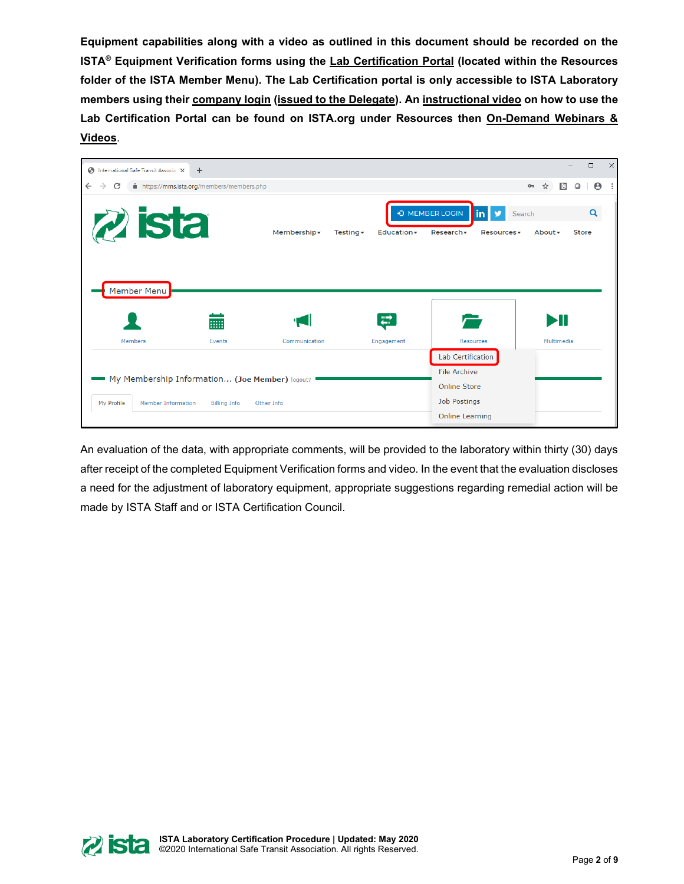**Equipment capabilities along with a video as outlined in this document should be recorded on the ISTA® Equipment Verification forms using the Lab Certification Portal (located within the Resources folder of the ISTA Member Menu). The Lab Certification portal is only accessible to ISTA Laboratory members using their company login (issued to the Delegate). An instructional video on how to use the Lab Certification Portal can be found on ISTA.org under Resources then On-Demand Webinars & Videos**.



An evaluation of the data, with appropriate comments, will be provided to the laboratory within thirty (30) days after receipt of the completed Equipment Verification forms and video. In the event that the evaluation discloses a need for the adjustment of laboratory equipment, appropriate suggestions regarding remedial action will be made by ISTA Staff and or ISTA Certification Council.

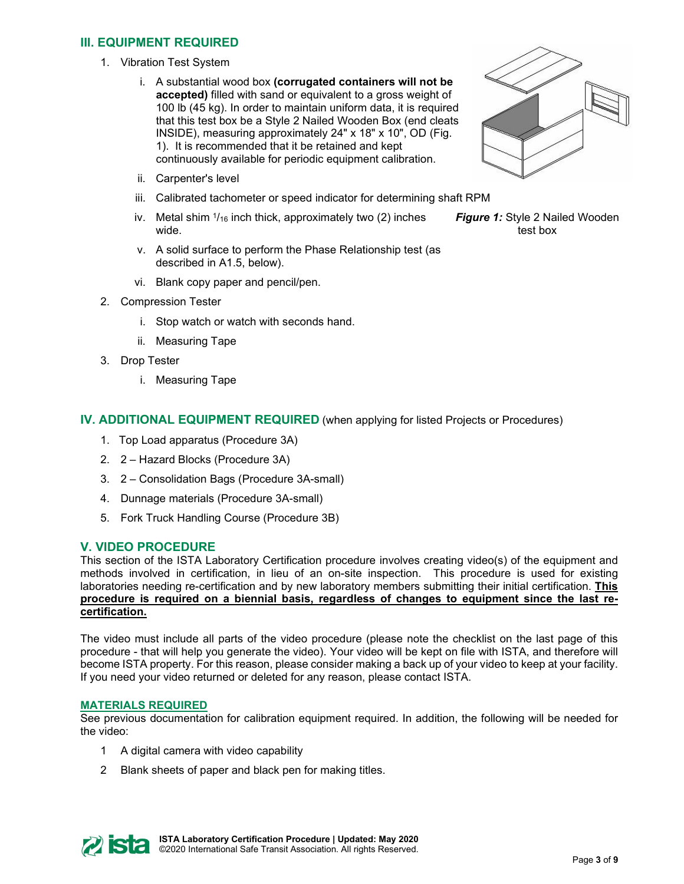# **III. EQUIPMENT REQUIRED**

- 1. Vibration Test System
	- i. A substantial wood box **(corrugated containers will not be accepted)** filled with sand or equivalent to a gross weight of 100 lb (45 kg). In order to maintain uniform data, it is required that this test box be a Style 2 Nailed Wooden Box (end cleats INSIDE), measuring approximately 24" x 18" x 10", OD (Fig. 1). It is recommended that it be retained and kept continuously available for periodic equipment calibration.
	- ii. Carpenter's level
	- iii. Calibrated tachometer or speed indicator for determining shaft RPM
	- iv. Metal shim  $\frac{1}{16}$  inch thick, approximately two (2) inches wide.
	- v. A solid surface to perform the Phase Relationship test (as described in A1.5, below).
	- vi. Blank copy paper and pencil/pen.
- 2. Compression Tester
	- i. Stop watch or watch with seconds hand.
	- ii. Measuring Tape
- 3. Drop Tester
	- i. Measuring Tape

## **IV. ADDITIONAL EQUIPMENT REQUIRED** (when applying for listed Projects or Procedures)

- 1. Top Load apparatus (Procedure 3A)
- 2. 2 Hazard Blocks (Procedure 3A)
- 3. 2 Consolidation Bags (Procedure 3A-small)
- 4. Dunnage materials (Procedure 3A-small)
- 5. Fork Truck Handling Course (Procedure 3B)

#### **V. VIDEO PROCEDURE**

This section of the ISTA Laboratory Certification procedure involves creating video(s) of the equipment and methods involved in certification, in lieu of an on-site inspection. This procedure is used for existing laboratories needing re-certification and by new laboratory members submitting their initial certification. **This procedure is required on a biennial basis, regardless of changes to equipment since the last recertification.**

The video must include all parts of the video procedure (please note the checklist on the last page of this procedure - that will help you generate the video). Your video will be kept on file with ISTA, and therefore will become ISTA property. For this reason, please consider making a back up of your video to keep at your facility. If you need your video returned or deleted for any reason, please contact ISTA.

#### **MATERIALS REQUIRED**

See previous documentation for calibration equipment required. In addition, the following will be needed for the video:

- 1 A digital camera with video capability
- 2 Blank sheets of paper and black pen for making titles.





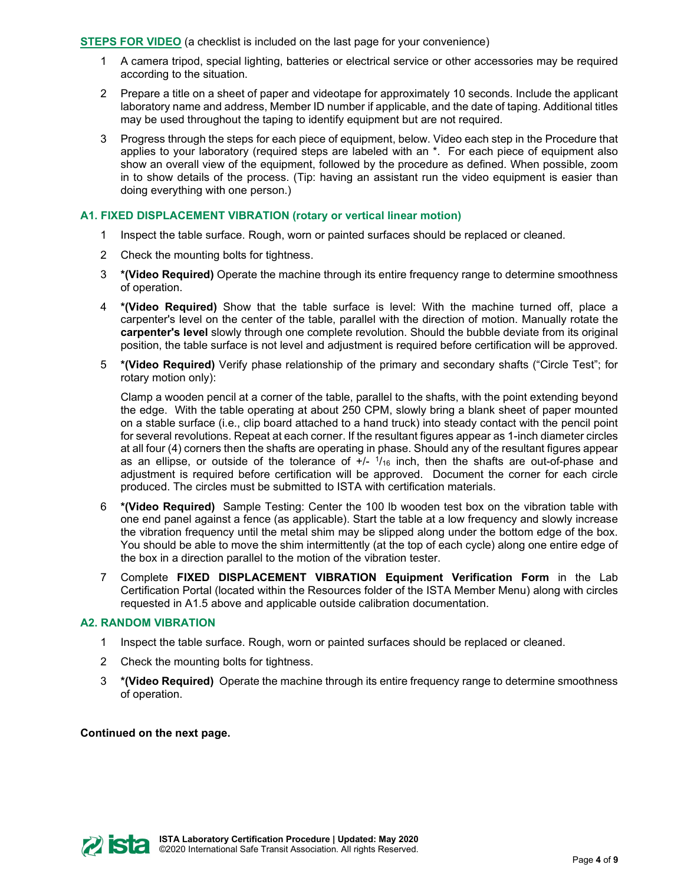**STEPS FOR VIDEO** (a checklist is included on the last page for your convenience)

- 1 A camera tripod, special lighting, batteries or electrical service or other accessories may be required according to the situation.
- 2 Prepare a title on a sheet of paper and videotape for approximately 10 seconds. Include the applicant laboratory name and address, Member ID number if applicable, and the date of taping. Additional titles may be used throughout the taping to identify equipment but are not required.
- 3 Progress through the steps for each piece of equipment, below. Video each step in the Procedure that applies to your laboratory (required steps are labeled with an \*. For each piece of equipment also show an overall view of the equipment, followed by the procedure as defined. When possible, zoom in to show details of the process. (Tip: having an assistant run the video equipment is easier than doing everything with one person.)

## **A1. FIXED DISPLACEMENT VIBRATION (rotary or vertical linear motion)**

- 1 Inspect the table surface. Rough, worn or painted surfaces should be replaced or cleaned.
- 2 Check the mounting bolts for tightness.
- 3 **\*(Video Required)** Operate the machine through its entire frequency range to determine smoothness of operation.
- 4 **\*(Video Required)** Show that the table surface is level: With the machine turned off, place a carpenter's level on the center of the table, parallel with the direction of motion. Manually rotate the **carpenter's level** slowly through one complete revolution. Should the bubble deviate from its original position, the table surface is not level and adjustment is required before certification will be approved.
- 5 **\*(Video Required)** Verify phase relationship of the primary and secondary shafts ("Circle Test"; for rotary motion only):

Clamp a wooden pencil at a corner of the table, parallel to the shafts, with the point extending beyond the edge. With the table operating at about 250 CPM, slowly bring a blank sheet of paper mounted on a stable surface (i.e., clip board attached to a hand truck) into steady contact with the pencil point for several revolutions. Repeat at each corner. If the resultant figures appear as 1-inch diameter circles at all four (4) corners then the shafts are operating in phase. Should any of the resultant figures appear as an ellipse, or outside of the tolerance of  $+/ 1/16$  inch, then the shafts are out-of-phase and adjustment is required before certification will be approved. Document the corner for each circle produced. The circles must be submitted to ISTA with certification materials.

- 6 **\*(Video Required)** Sample Testing: Center the 100 lb wooden test box on the vibration table with one end panel against a fence (as applicable). Start the table at a low frequency and slowly increase the vibration frequency until the metal shim may be slipped along under the bottom edge of the box. You should be able to move the shim intermittently (at the top of each cycle) along one entire edge of the box in a direction parallel to the motion of the vibration tester.
- 7 Complete **FIXED DISPLACEMENT VIBRATION Equipment Verification Form** in the Lab Certification Portal (located within the Resources folder of the ISTA Member Menu) along with circles requested in A1.5 above and applicable outside calibration documentation.

# **A2. RANDOM VIBRATION**

- 1 Inspect the table surface. Rough, worn or painted surfaces should be replaced or cleaned.
- 2 Check the mounting bolts for tightness.
- 3 **\*(Video Required)** Operate the machine through its entire frequency range to determine smoothness of operation.

#### **Continued on the next page.**

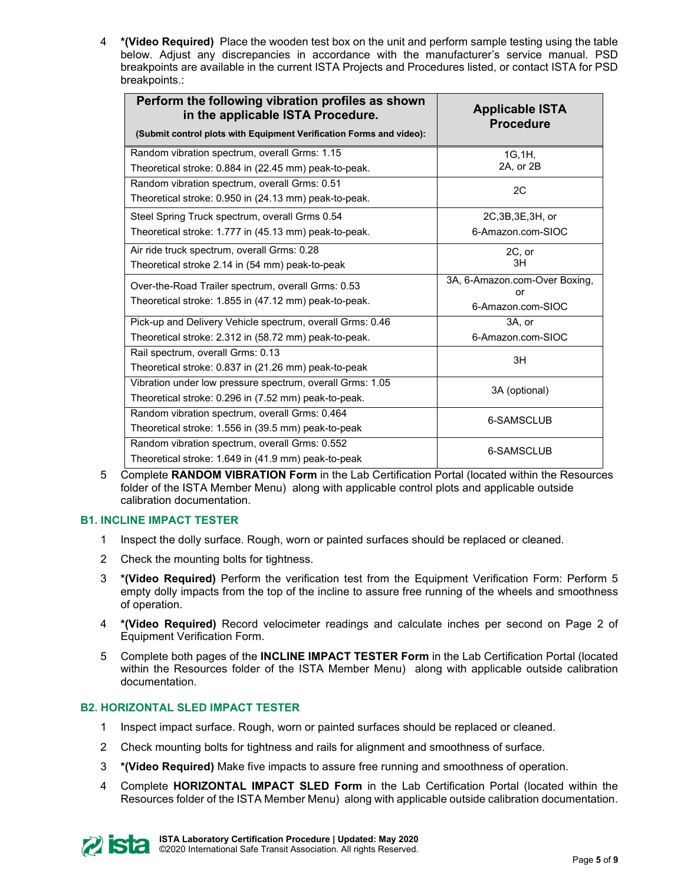4 **\*(Video Required)** Place the wooden test box on the unit and perform sample testing using the table below. Adjust any discrepancies in accordance with the manufacturer's service manual. PSD breakpoints are available in the current ISTA Projects and Procedures listed, or contact ISTA for PSD breakpoints.:

| Perform the following vibration profiles as shown<br>in the applicable ISTA Procedure.<br>(Submit control plots with Equipment Verification Forms and video): | <b>Applicable ISTA</b><br><b>Procedure</b> |  |
|---------------------------------------------------------------------------------------------------------------------------------------------------------------|--------------------------------------------|--|
| Random vibration spectrum, overall Grms: 1.15                                                                                                                 | 1G.1H.                                     |  |
| Theoretical stroke: 0.884 in (22.45 mm) peak-to-peak.                                                                                                         | 2A, or 2B                                  |  |
| Random vibration spectrum, overall Grms: 0.51                                                                                                                 | 2C                                         |  |
| Theoretical stroke: 0.950 in (24.13 mm) peak-to-peak.                                                                                                         |                                            |  |
| Steel Spring Truck spectrum, overall Grms 0.54                                                                                                                | 2C, 3B, 3E, 3H, or                         |  |
| Theoretical stroke: 1.777 in (45.13 mm) peak-to-peak.                                                                                                         | 6-Amazon.com-SIOC                          |  |
| Air ride truck spectrum, overall Grms: 0.28                                                                                                                   | 2C, or                                     |  |
| Theoretical stroke 2.14 in (54 mm) peak-to-peak                                                                                                               | 3H                                         |  |
| Over-the-Road Trailer spectrum, overall Grms: 0.53                                                                                                            | 3A, 6-Amazon.com-Over Boxing,              |  |
| Theoretical stroke: 1.855 in (47.12 mm) peak-to-peak.                                                                                                         | or                                         |  |
|                                                                                                                                                               | 6-Amazon.com-SIOC                          |  |
| Pick-up and Delivery Vehicle spectrum, overall Grms: 0.46                                                                                                     | 3A, or                                     |  |
| Theoretical stroke: 2.312 in (58.72 mm) peak-to-peak.                                                                                                         | 6-Amazon.com-SIOC                          |  |
| Rail spectrum, overall Grms: 0.13                                                                                                                             | 3H                                         |  |
| Theoretical stroke: 0.837 in (21.26 mm) peak-to-peak                                                                                                          |                                            |  |
| Vibration under low pressure spectrum, overall Grms: 1.05                                                                                                     | 3A (optional)                              |  |
| Theoretical stroke: 0.296 in (7.52 mm) peak-to-peak.                                                                                                          |                                            |  |
| Random vibration spectrum, overall Grms: 0.464                                                                                                                | 6-SAMSCLUB                                 |  |
| Theoretical stroke: 1.556 in (39.5 mm) peak-to-peak                                                                                                           |                                            |  |
| Random vibration spectrum, overall Grms: 0.552                                                                                                                | 6-SAMSCLUB                                 |  |
| Theoretical stroke: 1.649 in (41.9 mm) peak-to-peak                                                                                                           |                                            |  |

5 Complete **RANDOM VIBRATION Form** in the Lab Certification Portal (located within the Resources folder of the ISTA Member Menu) along with applicable control plots and applicable outside calibration documentation.

# **B1. INCLINE IMPACT TESTER**

- 1 Inspect the dolly surface. Rough, worn or painted surfaces should be replaced or cleaned.
- 2 Check the mounting bolts for tightness.
- 3 **\*(Video Required)** Perform the verification test from the Equipment Verification Form: Perform 5 empty dolly impacts from the top of the incline to assure free running of the wheels and smoothness of operation.
- 4 **\*(Video Required)** Record velocimeter readings and calculate inches per second on Page 2 of Equipment Verification Form.
- 5 Complete both pages of the **INCLINE IMPACT TESTER Form** in the Lab Certification Portal (located within the Resources folder of the ISTA Member Menu) along with applicable outside calibration documentation.

# **B2. HORIZONTAL SLED IMPACT TESTER**

- 1 Inspect impact surface. Rough, worn or painted surfaces should be replaced or cleaned.
- 2 Check mounting bolts for tightness and rails for alignment and smoothness of surface.
- 3 **\*(Video Required)** Make five impacts to assure free running and smoothness of operation.
- 4 Complete **HORIZONTAL IMPACT SLED Form** in the Lab Certification Portal (located within the Resources folder of the ISTA Member Menu) along with applicable outside calibration documentation.

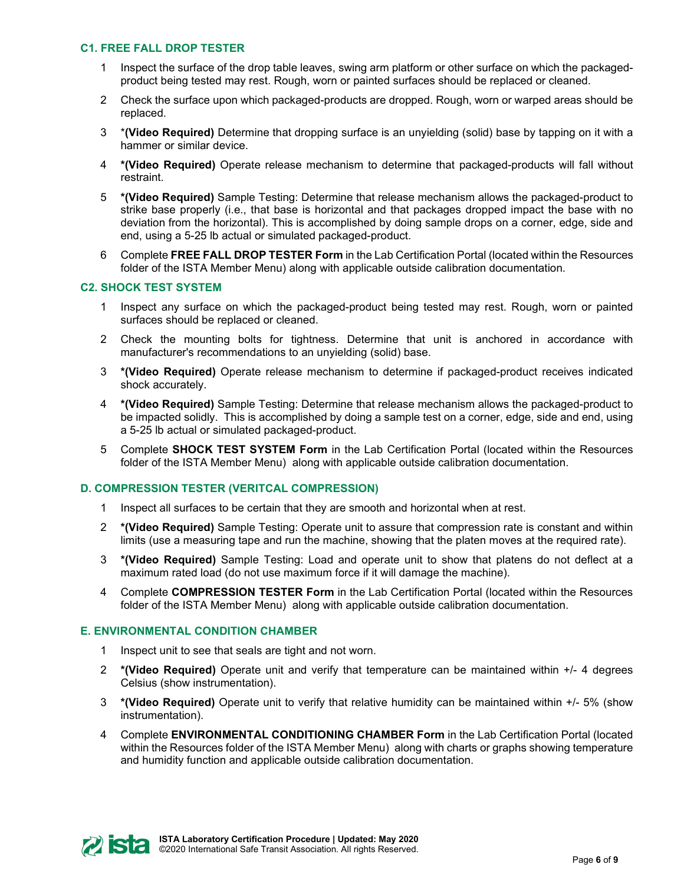#### **C1. FREE FALL DROP TESTER**

- 1 Inspect the surface of the drop table leaves, swing arm platform or other surface on which the packagedproduct being tested may rest. Rough, worn or painted surfaces should be replaced or cleaned.
- 2 Check the surface upon which packaged-products are dropped. Rough, worn or warped areas should be replaced.
- 3 \***(Video Required)** Determine that dropping surface is an unyielding (solid) base by tapping on it with a hammer or similar device.
- 4 **\*(Video Required)** Operate release mechanism to determine that packaged-products will fall without restraint.
- 5 **\*(Video Required)** Sample Testing: Determine that release mechanism allows the packaged-product to strike base properly (i.e., that base is horizontal and that packages dropped impact the base with no deviation from the horizontal). This is accomplished by doing sample drops on a corner, edge, side and end, using a 5-25 lb actual or simulated packaged-product.
- 6 Complete **FREE FALL DROP TESTER Form** in the Lab Certification Portal (located within the Resources folder of the ISTA Member Menu) along with applicable outside calibration documentation.

#### **C2. SHOCK TEST SYSTEM**

- 1 Inspect any surface on which the packaged-product being tested may rest. Rough, worn or painted surfaces should be replaced or cleaned.
- 2 Check the mounting bolts for tightness. Determine that unit is anchored in accordance with manufacturer's recommendations to an unyielding (solid) base.
- 3 **\*(Video Required)** Operate release mechanism to determine if packaged-product receives indicated shock accurately.
- 4 **\*(Video Required)** Sample Testing: Determine that release mechanism allows the packaged-product to be impacted solidly. This is accomplished by doing a sample test on a corner, edge, side and end, using a 5-25 lb actual or simulated packaged-product.
- 5 Complete **SHOCK TEST SYSTEM Form** in the Lab Certification Portal (located within the Resources folder of the ISTA Member Menu) along with applicable outside calibration documentation.

#### **D. COMPRESSION TESTER (VERITCAL COMPRESSION)**

- 1 Inspect all surfaces to be certain that they are smooth and horizontal when at rest.
- 2 **\*(Video Required)** Sample Testing: Operate unit to assure that compression rate is constant and within limits (use a measuring tape and run the machine, showing that the platen moves at the required rate).
- 3 **\*(Video Required)** Sample Testing: Load and operate unit to show that platens do not deflect at a maximum rated load (do not use maximum force if it will damage the machine).
- 4 Complete **COMPRESSION TESTER Form** in the Lab Certification Portal (located within the Resources folder of the ISTA Member Menu) along with applicable outside calibration documentation.

#### **E. ENVIRONMENTAL CONDITION CHAMBER**

- 1 Inspect unit to see that seals are tight and not worn.
- 2 **\*(Video Required)** Operate unit and verify that temperature can be maintained within +/- 4 degrees Celsius (show instrumentation).
- 3 **\*(Video Required)** Operate unit to verify that relative humidity can be maintained within +/- 5% (show instrumentation).
- 4 Complete **ENVIRONMENTAL CONDITIONING CHAMBER Form** in the Lab Certification Portal (located within the Resources folder of the ISTA Member Menu) along with charts or graphs showing temperature and humidity function and applicable outside calibration documentation.

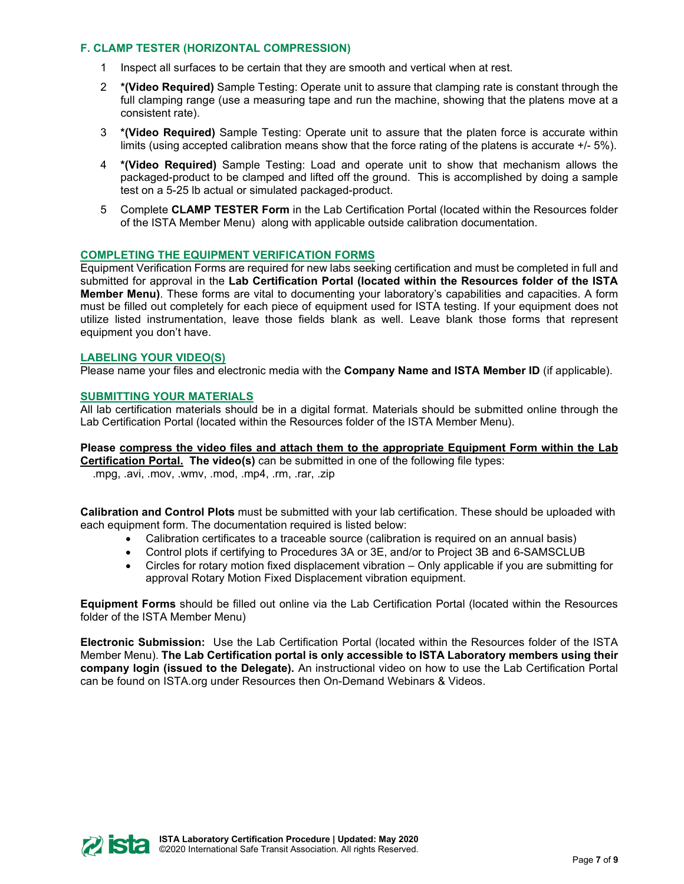#### **F. CLAMP TESTER (HORIZONTAL COMPRESSION)**

- 1 Inspect all surfaces to be certain that they are smooth and vertical when at rest.
- 2 **\*(Video Required)** Sample Testing: Operate unit to assure that clamping rate is constant through the full clamping range (use a measuring tape and run the machine, showing that the platens move at a consistent rate).
- 3 **\*(Video Required)** Sample Testing: Operate unit to assure that the platen force is accurate within limits (using accepted calibration means show that the force rating of the platens is accurate +/- 5%).
- 4 **\*(Video Required)** Sample Testing: Load and operate unit to show that mechanism allows the packaged-product to be clamped and lifted off the ground. This is accomplished by doing a sample test on a 5-25 lb actual or simulated packaged-product.
- 5 Complete **CLAMP TESTER Form** in the Lab Certification Portal (located within the Resources folder of the ISTA Member Menu) along with applicable outside calibration documentation.

#### **COMPLETING THE EQUIPMENT VERIFICATION FORMS**

Equipment Verification Forms are required for new labs seeking certification and must be completed in full and submitted for approval in the **Lab Certification Portal (located within the Resources folder of the ISTA Member Menu)**. These forms are vital to documenting your laboratory's capabilities and capacities. A form must be filled out completely for each piece of equipment used for ISTA testing. If your equipment does not utilize listed instrumentation, leave those fields blank as well. Leave blank those forms that represent equipment you don't have.

#### **LABELING YOUR VIDEO(S)**

Please name your files and electronic media with the **Company Name and ISTA Member ID** (if applicable).

#### **SUBMITTING YOUR MATERIALS**

All lab certification materials should be in a digital format. Materials should be submitted online through the Lab Certification Portal (located within the Resources folder of the ISTA Member Menu).

# **Please compress the video files and attach them to the appropriate Equipment Form within the Lab**

**Certification Portal. The video(s)** can be submitted in one of the following file types: .mpg, .avi, .mov, .wmv, .mod, .mp4, .rm, .rar, .zip

**Calibration and Control Plots** must be submitted with your lab certification. These should be uploaded with each equipment form. The documentation required is listed below:

- Calibration certificates to a traceable source (calibration is required on an annual basis)
- Control plots if certifying to Procedures 3A or 3E, and/or to Project 3B and 6-SAMSCLUB
- Circles for rotary motion fixed displacement vibration Only applicable if you are submitting for approval Rotary Motion Fixed Displacement vibration equipment.

**Equipment Forms** should be filled out online via the Lab Certification Portal (located within the Resources folder of the ISTA Member Menu)

**Electronic Submission:** Use the Lab Certification Portal (located within the Resources folder of the ISTA Member Menu). **The Lab Certification portal is only accessible to ISTA Laboratory members using their company login (issued to the Delegate).** An instructional video on how to use the Lab Certification Portal can be found on ISTA.org under Resources then On-Demand Webinars & Videos.

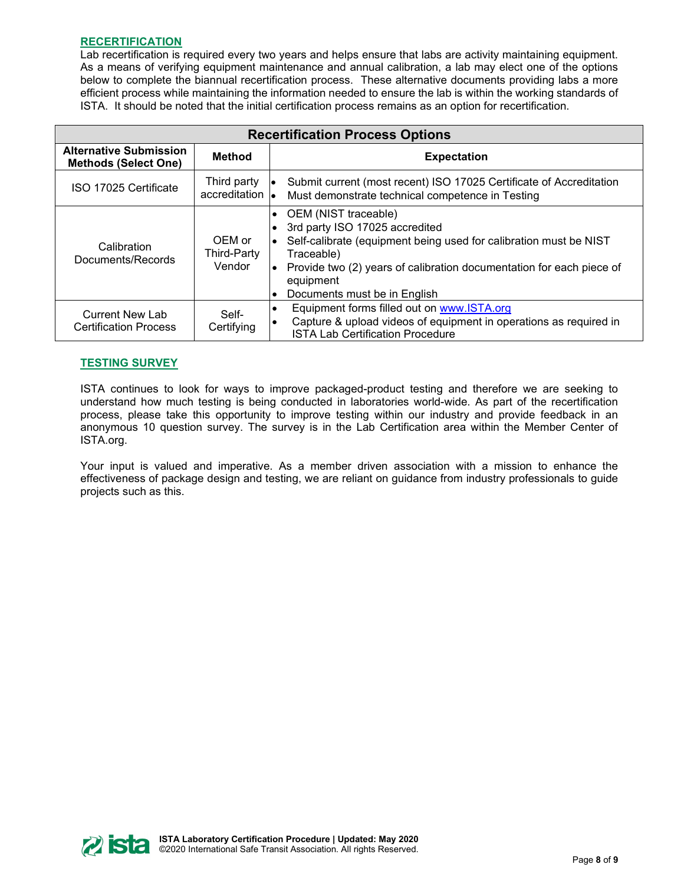# **RECERTIFICATION**

Lab recertification is required every two years and helps ensure that labs are activity maintaining equipment. As a means of verifying equipment maintenance and annual calibration, a lab may elect one of the options below to complete the biannual recertification process. These alternative documents providing labs a more efficient process while maintaining the information needed to ensure the lab is within the working standards of ISTA. It should be noted that the initial certification process remains as an option for recertification.

| <b>Recertification Process Options</b>                       |                                        |                                                                                                                                                                                                                                                                               |  |  |
|--------------------------------------------------------------|----------------------------------------|-------------------------------------------------------------------------------------------------------------------------------------------------------------------------------------------------------------------------------------------------------------------------------|--|--|
| <b>Alternative Submission</b><br><b>Methods (Select One)</b> | <b>Method</b>                          | <b>Expectation</b>                                                                                                                                                                                                                                                            |  |  |
| ISO 17025 Certificate                                        | Third party<br>accreditation <b>le</b> | Submit current (most recent) ISO 17025 Certificate of Accreditation<br>Must demonstrate technical competence in Testing                                                                                                                                                       |  |  |
| Calibration<br>Documents/Records                             | OEM or<br>Third-Party<br>Vendor        | • OEM (NIST traceable)<br>3rd party ISO 17025 accredited<br>Self-calibrate (equipment being used for calibration must be NIST<br>Traceable)<br>Provide two (2) years of calibration documentation for each piece of<br>equipment<br>Documents must be in English<br>$\bullet$ |  |  |
| <b>Current New Lab</b><br><b>Certification Process</b>       | Self-<br>Certifying                    | Equipment forms filled out on www.ISTA.org<br>$\bullet$<br>Capture & upload videos of equipment in operations as required in<br>$\bullet$<br><b>ISTA Lab Certification Procedure</b>                                                                                          |  |  |

# **TESTING SURVEY**

ISTA continues to look for ways to improve packaged-product testing and therefore we are seeking to understand how much testing is being conducted in laboratories world-wide. As part of the recertification process, please take this opportunity to improve testing within our industry and provide feedback in an anonymous 10 question survey. The survey is in the Lab Certification area within the Member Center of ISTA.org.

Your input is valued and imperative. As a member driven association with a mission to enhance the effectiveness of package design and testing, we are reliant on guidance from industry professionals to guide projects such as this.